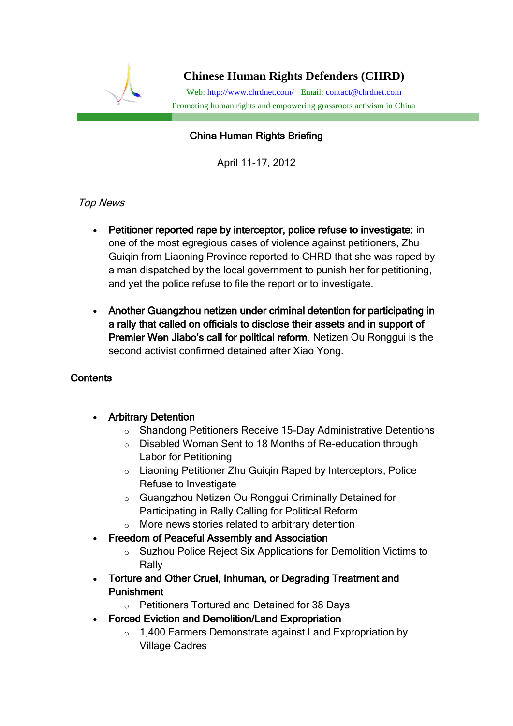

# **Chinese Human Rights Defenders (CHRD)**

Web[: http://www.chrdnet.com/](http://www.chrdnet.com/) Email: [contact@chrdnet.com](mailto:contact@chrdnet.com) Promoting human rights and empowering grassroots activism in China

# I China Human Rights Briefing

April 11-17, 2012

## Top News

- Petitioner reported rape by interceptor, police refuse to investigate: in one of the most egregious cases of violence against petitioners, Zhu Guiqin from Liaoning Province reported to CHRD that she was raped by a man dispatched by the local government to punish her for petitioning, and yet the police refuse to file the report or to investigate.
- Another Guangzhou netizen under criminal detention for participating in a rally that called on officials to disclose their assets and in support of Premier Wen Jiabo's call for political reform. Netizen Ou Ronggui is the second activist confirmed detained after Xiao Yong.

## **Contents**

- Arbitrary Detention
	- o Shandong Petitioners Receive 15-Day Administrative Detentions
	- o Disabled Woman Sent to 18 Months of Re-education through Labor for Petitioning
	- o Liaoning Petitioner Zhu Guiqin Raped by Interceptors, Police Refuse to Investigate
	- o Guangzhou Netizen Ou Ronggui Criminally Detained for Participating in Rally Calling for Political Reform
	- o More news stories related to arbitrary detention
- Freedom of Peaceful Assembly and Association
	- o Suzhou Police Reject Six Applications for Demolition Victims to Rally
- Torture and Other Cruel, Inhuman, or Degrading Treatment and Punishment
	- o Petitioners Tortured and Detained for 38 Days
- Forced Eviction and Demolition/Land Expropriation
	- o 1,400 Farmers Demonstrate against Land Expropriation by Village Cadres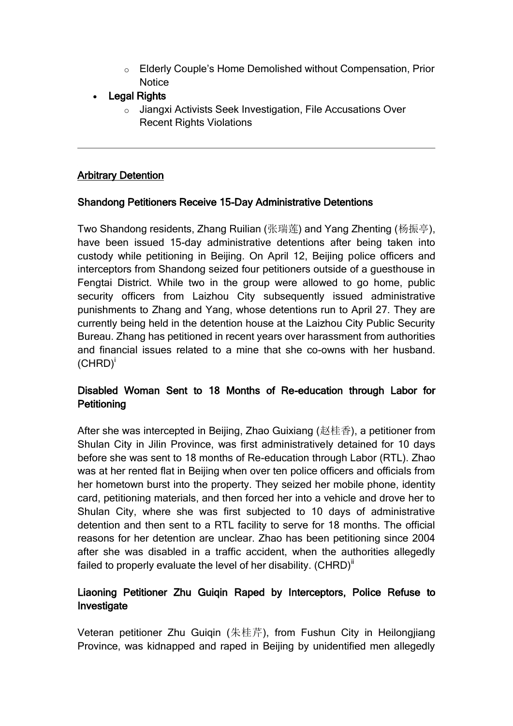- o Elderly Couple's Home Demolished without Compensation, Prior **Notice**
- Legal Rights
	- o Jiangxi Activists Seek Investigation, File Accusations Over Recent Rights Violations

#### Arbitrary Detention

#### Shandong Petitioners Receive 15-Day Administrative Detentions

Two Shandong residents, Zhang Ruilian (张瑞莲) and Yang Zhenting (杨振亭), have been issued 15-day administrative detentions after being taken into custody while petitioning in Beijing. On April 12, Beijing police officers and interceptors from Shandong seized four petitioners outside of a guesthouse in Fengtai District. While two in the group were allowed to go home, public security officers from Laizhou City subsequently issued administrative punishments to Zhang and Yang, whose detentions run to April 27. They are currently being held in the detention house at the Laizhou City Public Security Bureau. Zhang has petitioned in recent years over harassment from authorities and financial issues related to a mine that she co-owns with her husband.  $(CHRD)^{i}$ 

## Disabled Woman Sent to 18 Months of Re-education through Labor for **Petitioning**

After she was intercepted in Beijing, Zhao Guixiang (赵桂香), a petitioner from Shulan City in Jilin Province, was first administratively detained for 10 days before she was sent to 18 months of Re-education through Labor (RTL). Zhao was at her rented flat in Beijing when over ten police officers and officials from her hometown burst into the property. They seized her mobile phone, identity card, petitioning materials, and then forced her into a vehicle and drove her to Shulan City, where she was first subjected to 10 days of administrative detention and then sent to a RTL facility to serve for 18 months. The official reasons for her detention are unclear. Zhao has been petitioning since 2004 after she was disabled in a traffic accident, when the authorities allegedly failed to properly evaluate the level of her disability.  $(CHRD)^{ii}$ 

## Liaoning Petitioner Zhu Guiqin Raped by Interceptors, Police Refuse to Investigate

Veteran petitioner Zhu Guiqin (朱桂芹), from Fushun City in Heilongjiang Province, was kidnapped and raped in Beijing by unidentified men allegedly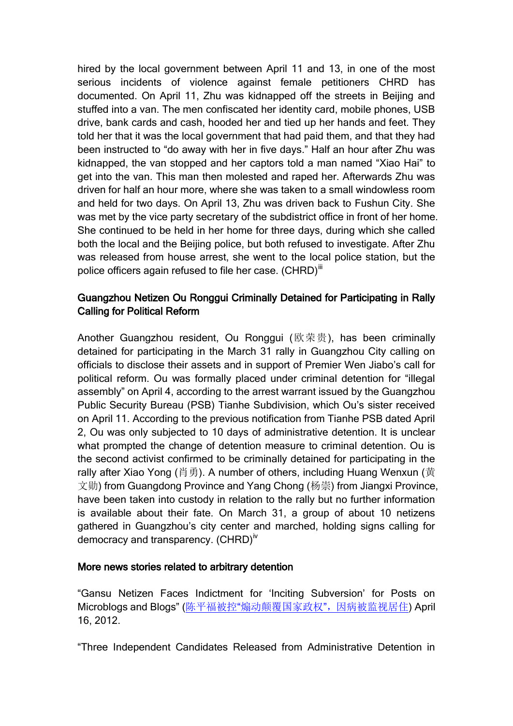hired by the local government between April 11 and 13, in one of the most serious incidents of violence against female petitioners CHRD has documented. On April 11, Zhu was kidnapped off the streets in Beijing and stuffed into a van. The men confiscated her identity card, mobile phones, USB drive, bank cards and cash, hooded her and tied up her hands and feet. They told her that it was the local government that had paid them, and that they had been instructed to "do away with her in five days." Half an hour after Zhu was kidnapped, the van stopped and her captors told a man named "Xiao Hai" to get into the van. This man then molested and raped her. Afterwards Zhu was driven for half an hour more, where she was taken to a small windowless room and held for two days. On April 13, Zhu was driven back to Fushun City. She was met by the vice party secretary of the subdistrict office in front of her home. She continued to be held in her home for three days, during which she called both the local and the Beijing police, but both refused to investigate. After Zhu was released from house arrest, she went to the local police station, but the police officers again refused to file her case. (CHRD)<sup>iii</sup>

## Guangzhou Netizen Ou Ronggui Criminally Detained for Participating in Rally Calling for Political Reform

Another Guangzhou resident, Ou Ronggui (欧荣贵), has been criminally detained for participating in the March 31 rally in Guangzhou City calling on officials to disclose their assets and in support of Premier Wen Jiabo's call for political reform. Ou was formally placed under criminal detention for "illegal assembly" on April 4, according to the arrest warrant issued by the Guangzhou Public Security Bureau (PSB) Tianhe Subdivision, which Ou's sister received on April 11. According to the previous notification from Tianhe PSB dated April 2, Ou was only subjected to 10 days of administrative detention. It is unclear what prompted the change of detention measure to criminal detention. Ou is the second activist confirmed to be criminally detained for participating in the rally after Xiao Yong (肖勇). A number of others, including Huang Wenxun (黄 文勋) from Guangdong Province and Yang Chong (杨崇) from Jiangxi Province, have been taken into custody in relation to the rally but no further information is available about their fate. On March 31, a group of about 10 netizens gathered in Guangzhou's city center and marched, holding signs calling for democracy and transparency.  $(CHRD)^{iv}$ 

#### More news stories related to arbitrary detention

"Gansu Netizen Faces Indictment for 'Inciting Subversion' for Posts on Microblogs and Blogs" (陈平福被控"[煽动颠覆国家政权](http://wqw2010.blogspot.com/2012/04/blog-post_7614.html)",因病被监视居住) April 16, 2012.

"Three Independent Candidates Released from Administrative Detention in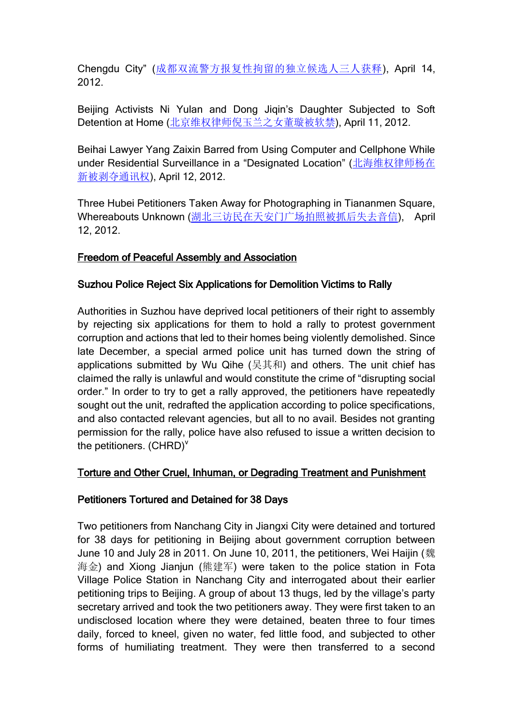Chengdu City" ([成都双流警方报复性拘留的独立候选人三人获释](http://wqw2010.blogspot.com/2012/04/blog-post_2335.html)), April 14, 2012.

Beijing Activists Ni Yulan and Dong Jiqin's Daughter Subjected to Soft Detention at Home ([北京维权律师倪玉兰之女董璇被软禁](http://wqw2010.blogspot.com/2012/04/blog-post_5767.html)), April 11, 2012.

Beihai Lawyer Yang Zaixin Barred from Using Computer and Cellphone While under Residential Surveillance in a "Designated Location" ([北海维权律师杨在](http://wqw2010.blogspot.com/2012/04/blog-post_12.html) [新被剥夺通讯权](http://wqw2010.blogspot.com/2012/04/blog-post_12.html)), April 12, 2012.

Three Hubei Petitioners Taken Away for Photographing in Tiananmen Square, Whereabouts Unknown ([湖北三访民在天安门广场拍照被抓后失去音信](http://wqw2010.blogspot.com/2012/04/blog-post_462.html)), April 12, 2012.

## Freedom of Peaceful Assembly and Association

## Suzhou Police Reject Six Applications for Demolition Victims to Rally

Authorities in Suzhou have deprived local petitioners of their right to assembly by rejecting six applications for them to hold a rally to protest government corruption and actions that led to their homes being violently demolished. Since late December, a special armed police unit has turned down the string of applications submitted by Wu Qihe (吴其和) and others. The unit chief has claimed the rally is unlawful and would constitute the crime of "disrupting social order." In order to try to get a rally approved, the petitioners have repeatedly sought out the unit, redrafted the application according to police specifications, and also contacted relevant agencies, but all to no avail. Besides not granting permission for the rally, police have also refused to issue a written decision to the petitioners.  $(CHRD)^{V}$ 

#### Torture and Other Cruel, Inhuman, or Degrading Treatment and Punishment

#### Petitioners Tortured and Detained for 38 Days

Two petitioners from Nanchang City in Jiangxi City were detained and tortured for 38 days for petitioning in Beijing about government corruption between June 10 and July 28 in 2011. On June 10, 2011, the petitioners, Wei Haijin (魏 海金) and Xiong Jianjun (熊建军) were taken to the police station in Fota Village Police Station in Nanchang City and interrogated about their earlier petitioning trips to Beijing. A group of about 13 thugs, led by the village's party secretary arrived and took the two petitioners away. They were first taken to an undisclosed location where they were detained, beaten three to four times daily, forced to kneel, given no water, fed little food, and subjected to other forms of humiliating treatment. They were then transferred to a second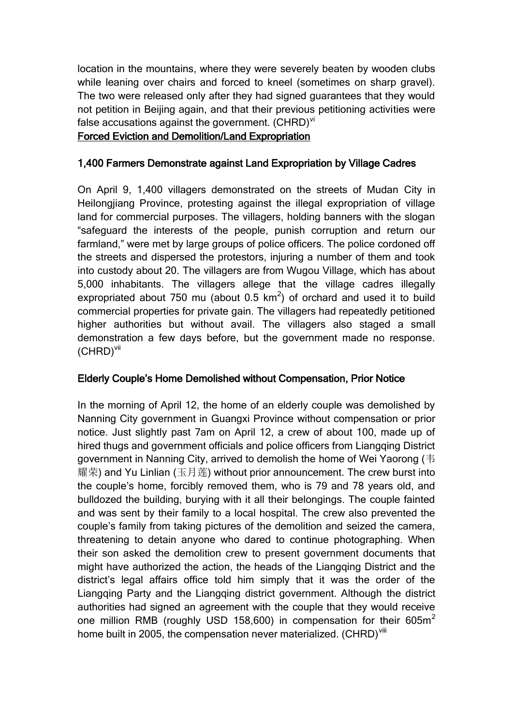location in the mountains, where they were severely beaten by wooden clubs while leaning over chairs and forced to kneel (sometimes on sharp gravel). The two were released only after they had signed guarantees that they would not petition in Beijing again, and that their previous petitioning activities were false accusations against the government.  $(CHRD)^{vi}$ 

#### Forced Eviction and Demolition/Land Expropriation

#### 1,400 Farmers Demonstrate against Land Expropriation by Village Cadres

On April 9, 1,400 villagers demonstrated on the streets of Mudan City in Heilongjiang Province, protesting against the illegal expropriation of village land for commercial purposes. The villagers, holding banners with the slogan "safeguard the interests of the people, punish corruption and return our farmland," were met by large groups of police officers. The police cordoned off the streets and dispersed the protestors, injuring a number of them and took into custody about 20. The villagers are from Wugou Village, which has about 5,000 inhabitants. The villagers allege that the village cadres illegally expropriated about 750 mu (about 0.5  $km^2$ ) of orchard and used it to build commercial properties for private gain. The villagers had repeatedly petitioned higher authorities but without avail. The villagers also staged a small demonstration a few days before, but the government made no response. (CHRD)vii

#### Elderly Couple's Home Demolished without Compensation, Prior Notice

In the morning of April 12, the home of an elderly couple was demolished by Nanning City government in Guangxi Province without compensation or prior notice. Just slightly past 7am on April 12, a crew of about 100, made up of hired thugs and government officials and police officers from Liangqing District government in Nanning City, arrived to demolish the home of Wei Yaorong (韦 耀荣) and Yu Linlian (玉月莲) without prior announcement. The crew burst into the couple's home, forcibly removed them, who is 79 and 78 years old, and bulldozed the building, burying with it all their belongings. The couple fainted and was sent by their family to a local hospital. The crew also prevented the couple's family from taking pictures of the demolition and seized the camera, threatening to detain anyone who dared to continue photographing. When their son asked the demolition crew to present government documents that might have authorized the action, the heads of the Liangqing District and the district's legal affairs office told him simply that it was the order of the Liangqing Party and the Liangqing district government. Although the district authorities had signed an agreement with the couple that they would receive one million RMB (roughly USD 158,600) in compensation for their  $605m^2$ home built in 2005, the compensation never materialized. (CHRD)<sup>viii</sup>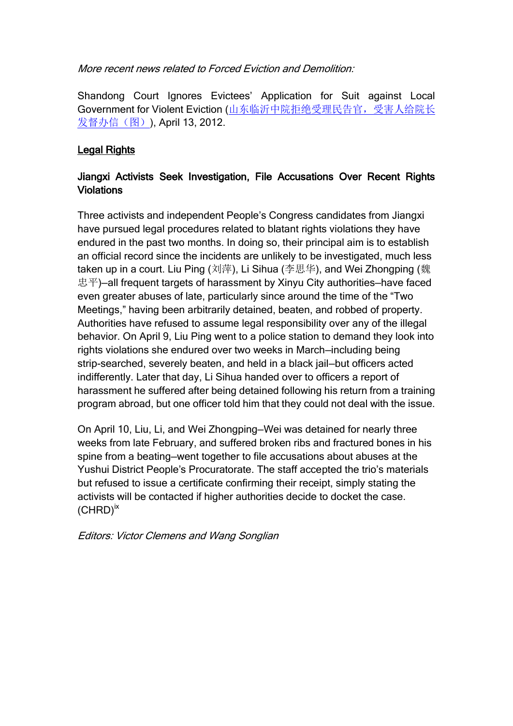More recent news related to Forced Eviction and Demolition:

Shandong Court Ignores Evictees' Application for Suit against Local Government for Violent Eviction ([山东临沂中院拒绝受理民告官,受害人给院长](http://wqw2010.blogspot.com/2012/04/blog-post_13.html) [发督办信\(图\)](http://wqw2010.blogspot.com/2012/04/blog-post_13.html)), April 13, 2012.

# Legal Rights

## Jiangxi Activists Seek Investigation, File Accusations Over Recent Rights **Violations**

Three activists and independent People's Congress candidates from Jiangxi have pursued legal procedures related to blatant rights violations they have endured in the past two months. In doing so, their principal aim is to establish an official record since the incidents are unlikely to be investigated, much less taken up in a court. Liu Ping (刘萍), Li Sihua (李思华), and Wei Zhongping (魏 忠平)—all frequent targets of harassment by Xinyu City authorities—have faced even greater abuses of late, particularly since around the time of the "Two Meetings," having been arbitrarily detained, beaten, and robbed of property. Authorities have refused to assume legal responsibility over any of the illegal behavior. On April 9, Liu Ping went to a police station to demand they look into rights violations she endured over two weeks in March—including being strip-searched, severely beaten, and held in a black jail—but officers acted indifferently. Later that day, Li Sihua handed over to officers a report of harassment he suffered after being detained following his return from a training program abroad, but one officer told him that they could not deal with the issue.

On April 10, Liu, Li, and Wei Zhongping—Wei was detained for nearly three weeks from late February, and suffered broken ribs and fractured bones in his spine from a beating—went together to file accusations about abuses at the Yushui District People's Procuratorate. The staff accepted the trio's materials but refused to issue a certificate confirming their receipt, simply stating the activists will be contacted if higher authorities decide to docket the case.  $(CHRD)^{ix}$ 

Editors: Victor Clemens and Wang Songlian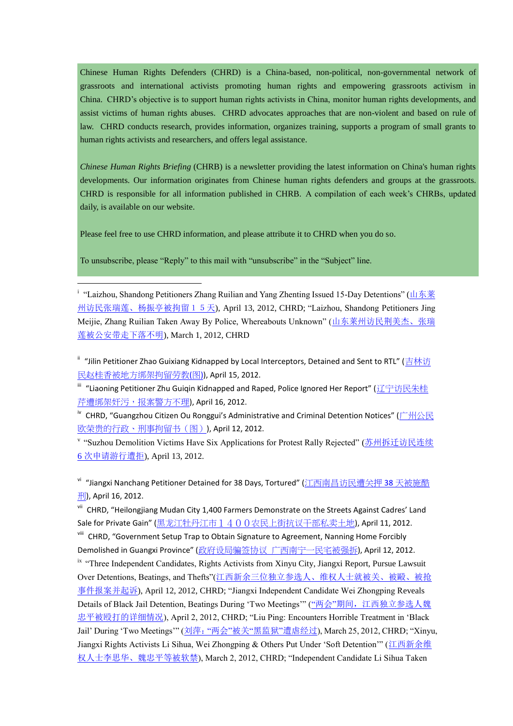Chinese Human Rights Defenders (CHRD) is a China-based, non-political, non-governmental network of grassroots and international activists promoting human rights and empowering grassroots activism in China. CHRD's objective is to support human rights activists in China, monitor human rights developments, and assist victims of human rights abuses. CHRD advocates approaches that are non-violent and based on rule of law. CHRD conducts research, provides information, organizes training, supports a program of small grants to human rights activists and researchers, and offers legal assistance.

*Chinese Human Rights Briefing* (CHRB) is a newsletter providing the latest information on China's human rights developments. Our information originates from Chinese human rights defenders and groups at the grassroots. CHRD is responsible for all information published in CHRB. A compilation of each week's CHRBs, updated daily, is available on our website.

Please feel free to use CHRD information, and please attribute it to CHRD when you do so.

To unsubscribe, please "Reply" to this mail with "unsubscribe" in the "Subject" line.

<u>.</u>

<sup>i</sup> "Laizhou, Shandong Petitioners Zhang Ruilian and Yang Zhenting Issued 15-Day Detentions" ([山东莱](http://wqw2010.blogspot.com/2012/04/blog-post_3493.html) [州访民张瑞莲、杨振亭被拘留15天](http://wqw2010.blogspot.com/2012/04/blog-post_3493.html)), April 13, 2012, CHRD; "Laizhou, Shandong Petitioners Jing Meijie, Zhang Ruilian Taken Away By Police, Whereabouts Unknown" ([山东莱州访民荆美杰、张瑞](http://wqw2010.blogspot.com/2012/03/blog-post_01.html) [莲被公安带走下落不明](http://wqw2010.blogspot.com/2012/03/blog-post_01.html)), March 1, 2012, CHRD

<sup>ii</sup> "Jilin Petitioner Zhao Guixiang Kidnapped by Local Interceptors, Detained and Sent to RTL" ([吉林访](http://wqw2010.blogspot.com/2012/04/blog-post_5502.html) [民赵桂香被地方绑架拘留劳教](http://wqw2010.blogspot.com/2012/04/blog-post_5502.html)(图)), April 15, 2012.

<sup>iii</sup> "Liaoning Petitioner Zhu Guiqin Kidnapped and Raped, Police Ignored Her Report" ([辽宁访民朱桂](http://wqw2010.blogspot.com/2012/04/blog-post_7989.html) [芹遭绑架奸污,报案警方不理](http://wqw2010.blogspot.com/2012/04/blog-post_7989.html)), April 16, 2012.

<sup>iv</sup> CHRD, "Guangzhou Citizen Ou Ronggui's Administrative and Criminal Detention Notices" ([广州公民](http://wqw2010.blogspot.com/2012/04/blog-post_9725.html?spref=tw) [欧荣贵的行政、刑事拘留书\(图\)](http://wqw2010.blogspot.com/2012/04/blog-post_9725.html?spref=tw)), April 12, 2012.

v "Suzhou Demolition Victims Have Six Applications for Protest Rally Rejected" ([苏州拆迁访民连续](http://wqw2010.blogspot.com/2012/04/6_13.html) 6 [次申请游行遭拒](http://wqw2010.blogspot.com/2012/04/6_13.html)), April 13, 2012.

<sup>vi</sup> "Jiangxi Nanchang Petitioner Detained for 38 Days, Tortured" ([江西南昌访民遭关押](http://wqw2010.blogspot.com/2012/04/38.html) 38 天被施酷 [刑](http://wqw2010.blogspot.com/2012/04/38.html)), April 16, 2012.

vii CHRD, "Heilongjiang Mudan City 1,400 Farmers Demonstrate on the Streets Against Cadres' Land Sale for Private Gain" ([黑龙江牡丹江市1400农民上街抗议干部私卖土地](http://wqw2010.blogspot.com/2012/04/blog-post_3655.html)), April 11, 2012.

viii CHRD, "Government Setup Trap to Obtain Signature to Agreement, Nanning Home Forcibly Demolished in Guangxi Province" (政府设局骗签协议 [广西南宁一民宅被强拆](http://wqw2010.blogspot.com/2012/04/blog-post_4832.html)), April 12, 2012.

ix "Three Independent Candidates, Rights Activists from Xinyu City, Jiangxi Report, Pursue Lawsuit Over Detentions, Beatings, and Thefts"([江西新余三位独立参选人、维权人士就被关、被毆、被抢](http://wqw2010.blogspot.com/2012/04/blog-post_8370.html) [事件报案并起诉](http://wqw2010.blogspot.com/2012/04/blog-post_8370.html)), April 12, 2012, CHRD; "Jiangxi Independent Candidate Wei Zhongping Reveals Details of Black Jail Detention, Beatings During 'Two Meetings"" ("两会"期间, 江西独立参选人魏 [忠平被殴打的详细情况](http://wqw2010.blogspot.com/2012/04/blog-post_5398.html)), April 2, 2012, CHRD; "Liu Ping: Encounters Horrible Treatment in 'Black Jail' During 'Two Meetings'" (刘萍:"两会"被关"黑监狱"[遭虐经过](http://wqw2010.blogspot.com/2012/03/blog-post_6233.html)), March 25, 2012, CHRD; "Xinyu, Jiangxi Rights Activists Li Sihua, Wei Zhongping & Others Put Under 'Soft Detention'" ([江西新余维](http://wqw2010.blogspot.com/2012/03/blog-post_1252.html) [权人士李思华、魏忠平等被软禁](http://wqw2010.blogspot.com/2012/03/blog-post_1252.html)), March 2, 2012, CHRD; "Independent Candidate Li Sihua Taken